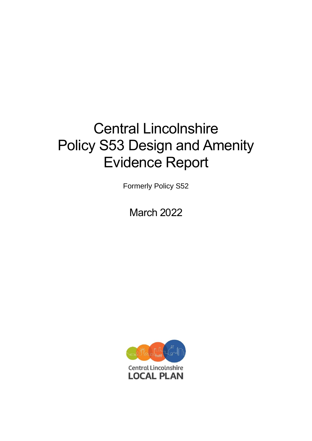# Central Lincolnshire Policy S53 Design and Amenity Evidence Report

Formerly Policy S52

March 2022

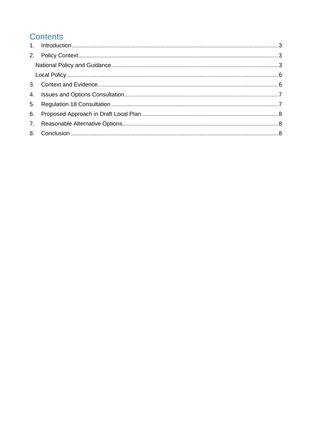# **Contents**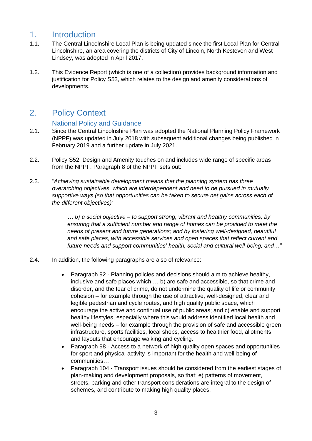## <span id="page-2-0"></span>1. Introduction

- 1.1. The Central Lincolnshire Local Plan is being updated since the first Local Plan for Central Lincolnshire, an area covering the districts of City of Lincoln, North Kesteven and West Lindsey, was adopted in April 2017.
- 1.2. This Evidence Report (which is one of a collection) provides background information and justification for Policy S53, which relates to the design and amenity considerations of developments.

# <span id="page-2-1"></span>2. Policy Context

#### National Policy and Guidance

- <span id="page-2-2"></span>2.1. Since the Central Lincolnshire Plan was adopted the National Planning Policy Framework (NPPF) was updated in July 2018 with subsequent additional changes being published in February 2019 and a further update in July 2021.
- 2.2. Policy S52: Design and Amenity touches on and includes wide range of specific areas from the NPPF. Paragraph 8 of the NPPF sets out:
- 2.3. "*Achieving sustainable development means that the planning system has three overarching objectives, which are interdependent and need to be pursued in mutually supportive ways (so that opportunities can be taken to secure net gains across each of the different objectives):*

*… b) a social objective – to support strong, vibrant and healthy communities, by ensuring that a sufficient number and range of homes can be provided to meet the needs of present and future generations; and by fostering well-designed, beautiful and safe places, with accessible services and open spaces that reflect current and future needs and support communities' health, social and cultural well-being; and…"*

- 2.4. In addition, the following paragraphs are also of relevance:
	- Paragraph 92 Planning policies and decisions should aim to achieve healthy, inclusive and safe places which:… b) are safe and accessible, so that crime and disorder, and the fear of crime, do not undermine the quality of life or community cohesion – for example through the use of attractive, well-designed, clear and legible pedestrian and cycle routes, and high quality public space, which encourage the active and continual use of public areas; and c) enable and support healthy lifestyles, especially where this would address identified local health and well-being needs – for example through the provision of safe and accessible green infrastructure, sports facilities, local shops, access to healthier food, allotments and layouts that encourage walking and cycling.
	- Paragraph 98 Access to a network of high quality open spaces and opportunities for sport and physical activity is important for the health and well-being of communities…
	- Paragraph 104 Transport issues should be considered from the earliest stages of plan-making and development proposals, so that: e) patterns of movement, streets, parking and other transport considerations are integral to the design of schemes, and contribute to making high quality places.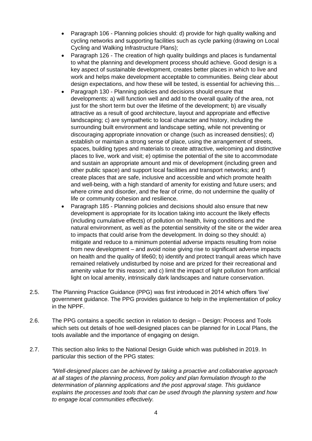- Paragraph 106 Planning policies should: d) provide for high quality walking and cycling networks and supporting facilities such as cycle parking (drawing on Local Cycling and Walking Infrastructure Plans);
- Paragraph 126 The creation of high quality buildings and places is fundamental to what the planning and development process should achieve. Good design is a key aspect of sustainable development, creates better places in which to live and work and helps make development acceptable to communities. Being clear about design expectations, and how these will be tested, is essential for achieving this…
- Paragraph 130 Planning policies and decisions should ensure that developments: a) will function well and add to the overall quality of the area, not just for the short term but over the lifetime of the development; b) are visually attractive as a result of good architecture, layout and appropriate and effective landscaping; c) are sympathetic to local character and history, including the surrounding built environment and landscape setting, while not preventing or discouraging appropriate innovation or change (such as increased densities); d) establish or maintain a strong sense of place, using the arrangement of streets, spaces, building types and materials to create attractive, welcoming and distinctive places to live, work and visit; e) optimise the potential of the site to accommodate and sustain an appropriate amount and mix of development (including green and other public space) and support local facilities and transport networks; and f) create places that are safe, inclusive and accessible and which promote health and well-being, with a high standard of amenity for existing and future users; and where crime and disorder, and the fear of crime, do not undermine the quality of life or community cohesion and resilience.
- Paragraph 185 Planning policies and decisions should also ensure that new development is appropriate for its location taking into account the likely effects (including cumulative effects) of pollution on health, living conditions and the natural environment, as well as the potential sensitivity of the site or the wider area to impacts that could arise from the development. In doing so they should: a) mitigate and reduce to a minimum potential adverse impacts resulting from noise from new development – and avoid noise giving rise to significant adverse impacts on health and the quality of life60; b) identify and protect tranquil areas which have remained relatively undisturbed by noise and are prized for their recreational and amenity value for this reason; and c) limit the impact of light pollution from artificial light on local amenity, intrinsically dark landscapes and nature conservation.
- 2.5. The Planning Practice Guidance (PPG) was first introduced in 2014 which offers 'live' government guidance. The PPG provides guidance to help in the implementation of policy in the NPPF.
- 2.6. The PPG contains a specific section in relation to design Design: Process and Tools which sets out details of hoe well-designed places can be planned for in Local Plans, the tools available and the importance of engaging on design.
- 2.7. This section also links to the National Design Guide which was published in 2019. In particular this section of the PPG states:

*"Well-designed places can be achieved by taking a proactive and collaborative approach at all stages of the planning process, from policy and plan formulation through to the determination of planning applications and the post approval stage. This guidance explains the processes and tools that can be used through the planning system and how to engage local communities effectively.*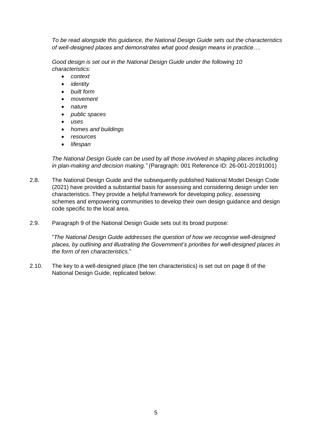*To be read alongside this guidance, the National Design Guide sets out the characteristics of well-designed places and demonstrates what good design means in practice….*

*Good design is set out in the National Design Guide under the following 10 characteristics:*

- *context*
- *identity*
- *built form*
- *movement*
- *nature*
- *public spaces*
- *uses*
- *homes and buildings*
- *resources*
- *lifespan*

*The National Design Guide can be used by all those involved in shaping places including in plan-making and decision making."* (Paragraph: 001 Reference ID: 26-001-20191001)

- 2.8. The National Design Guide and the subsequently published National Model Design Code (2021) have provided a substantial basis for assessing and considering design under ten characteristics. They provide a helpful framework for developing policy, assessing schemes and empowering communities to develop their own design guidance and design code specific to the local area.
- 2.9. Paragraph 9 of the National Design Guide sets out its broad purpose:

"*The National Design Guide addresses the question of how we recognise well-designed places, by outlining and illustrating the Government's priorities for well-designed places in the form of ten characteristics.*"

2.10. The key to a well-designed place (the ten characteristics) is set out on page 8 of the National Design Guide, replicated below: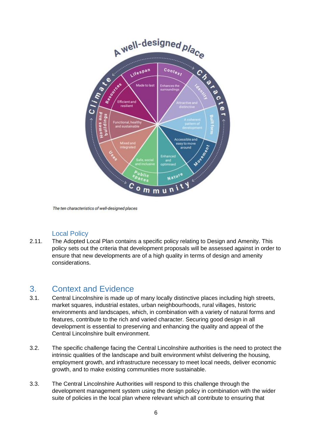

The ten characteristics of well-designed places

#### Local Policy

<span id="page-5-0"></span>2.11. The Adopted Local Plan contains a specific policy relating to Design and Amenity. This policy sets out the criteria that development proposals will be assessed against in order to ensure that new developments are of a high quality in terms of design and amenity considerations.

#### <span id="page-5-1"></span>3. Context and Evidence

- 3.1. Central Lincolnshire is made up of many locally distinctive places including high streets, market squares, industrial estates, urban neighbourhoods, rural villages, historic environments and landscapes, which, in combination with a variety of natural forms and features, contribute to the rich and varied character. Securing good design in all development is essential to preserving and enhancing the quality and appeal of the Central Lincolnshire built environment.
- 3.2. The specific challenge facing the Central Lincolnshire authorities is the need to protect the intrinsic qualities of the landscape and built environment whilst delivering the housing, employment growth, and infrastructure necessary to meet local needs, deliver economic growth, and to make existing communities more sustainable.
- 3.3. The Central Lincolnshire Authorities will respond to this challenge through the development management system using the design policy in combination with the wider suite of policies in the local plan where relevant which all contribute to ensuring that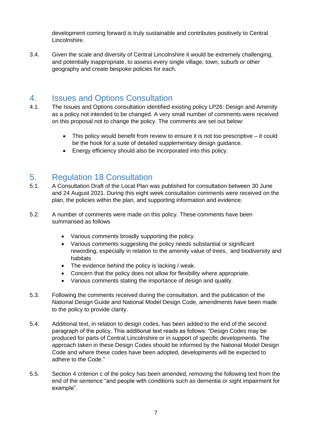development coming forward is truly sustainable and contributes positively to Central Lincolnshire.

3.4. Given the scale and diversity of Central Lincolnshire it would be extremely challenging, and potentially inappropriate, to assess every single village, town, suburb or other geography and create bespoke policies for each.

# <span id="page-6-0"></span>4. Issues and Options Consultation

- 4.1. The Issues and Options consultation identified existing policy LP26: Design and Amenity as a policy not intended to be changed. A very small number of comments were received on this proposal not to change the policy. The comments are set out below:
	- This policy would benefit from review to ensure it is not too prescriptive it could be the hook for a suite of detailed supplementary design guidance.
	- Energy efficiency should also be incorporated into this policy.

#### <span id="page-6-1"></span>5. Regulation 18 Consultation

- 5.1. A Consultation Draft of the Local Plan was published for consultation between 30 June and 24 August 2021. During this eight week consultation comments were received on the plan, the policies within the plan, and supporting information and evidence.
- 5.2. A number of comments were made on this policy. These comments have been summarised as follows
	- Various comments broadly supporting the policy.
	- Various comments suggesting the policy needs substantial or significant rewording, especially in relation to the amenity value of trees, and biodiversity and habitats
	- The evidence behind the policy is lacking / weak.
	- Concern that the policy does not allow for flexibility where appropriate.
	- Various comments stating the importance of design and quality.
- 5.3. Following the comments received during the consultation, and the publication of the National Design Guide and National Model Design Code, amendments have been made to the policy to provide clarity.
- 5.4. Additional text, in relation to design codes, has been added to the end of the second paragraph of the policy. This additional text reads as follows: "Design Codes may be produced for parts of Central Lincolnshire or in support of specific developments. The approach taken in these Design Codes should be informed by the National Model Design Code and where these codes have been adopted, developments will be expected to adhere to the Code."
- 5.5. Section 4 criterion c of the policy has been amended, removing the following text from the end of the sentence "and people with conditions such as dementia or sight impairment for example".